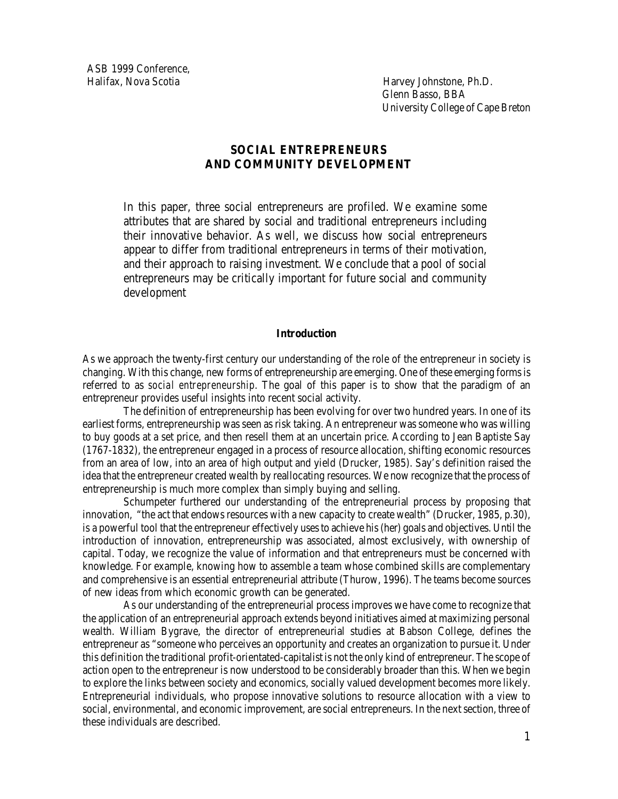ASB 1999 Conference, Halifax, Nova Scotia Harvey Johnstone, Ph.D.

Glenn Basso, BBA University College of Cape Breton

# **SOCIAL ENTREPRENEURS AND COMMUNITY DEVELOPMENT**

In this paper, three social entrepreneurs are profiled. We examine some attributes that are shared by social and traditional entrepreneurs including their innovative behavior. As well, we discuss how social entrepreneurs appear to differ from traditional entrepreneurs in terms of their motivation, and their approach to raising investment. We conclude that a pool of social entrepreneurs may be critically important for future social and community development

### **Introduction**

As we approach the twenty-first century our understanding of the role of the entrepreneur in society is changing. With this change, new forms of entrepreneurship are emerging. One of these emerging forms is referred to as *social entrepreneurship*. The goal of this paper is to show that the paradigm of an entrepreneur provides useful insights into recent social activity.

The definition of entrepreneurship has been evolving for over two hundred years. In one of its earliest forms, entrepreneurship was seen as risk taking. An entrepreneur was someone who was willing to buy goods at a set price, and then resell them at an uncertain price. According to Jean Baptiste Say (1767-1832), the entrepreneur engaged in a process of resource allocation, shifting economic resources from an area of low, into an area of high output and yield (Drucker, 1985). Say's definition raised the idea that the entrepreneur created wealth by reallocating resources. We now recognize that the process of entrepreneurship is much more complex than simply buying and selling.

Schumpeter furthered our understanding of the entrepreneurial process by proposing that innovation, "the act that endows resources with a new capacity to create wealth" (Drucker, 1985, p.30), is a powerful tool that the entrepreneur effectively uses to achieve his (her) goals and objectives. Until the introduction of innovation, entrepreneurship was associated, almost exclusively, with ownership of capital. Today, we recognize the value of information and that entrepreneurs must be concerned with knowledge. For example, knowing how to assemble a team whose combined skills are complementary and comprehensive is an essential entrepreneurial attribute (Thurow, 1996). The teams become sources of new ideas from which economic growth can be generated.

As our understanding of the entrepreneurial process improves we have come to recognize that the application of an entrepreneurial approach extends beyond initiatives aimed at maximizing personal wealth. William Bygrave, the director of entrepreneurial studies at Babson College, defines the entrepreneur as "someone who perceives an opportunity and creates an organization to pursue it. Under this definition the traditional profit-orientated-capitalist is not the only kind of entrepreneur. The scope of action open to the entrepreneur is now understood to be considerably broader than this. When we begin to explore the links between society and economics, socially valued development becomes more likely. Entrepreneurial individuals, who propose innovative solutions to resource allocation with a view to social, environmental, and economic improvement, are social entrepreneurs. In the next section, three of these individuals are described.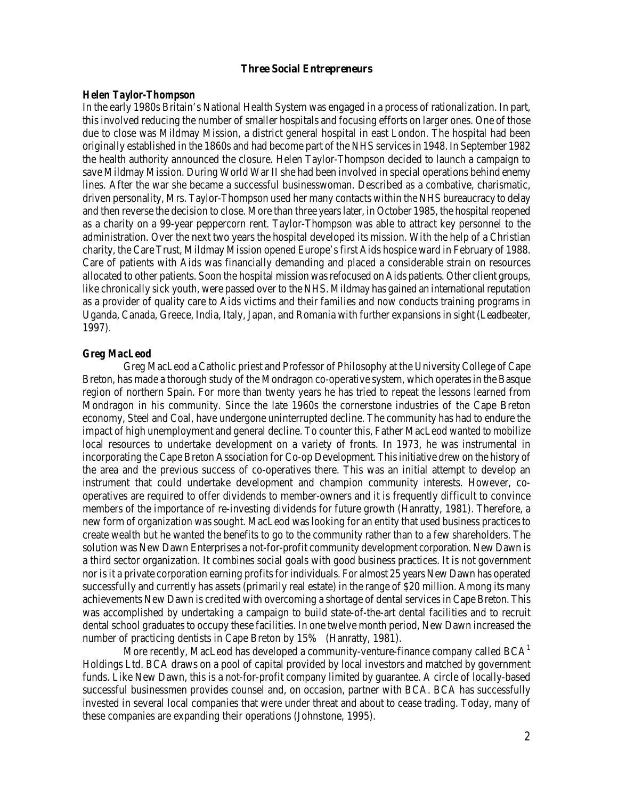### **Three Social Entrepreneurs**

#### *Helen Taylor-Thompson*

In the early 1980s Britain's National Health System was engaged in a process of rationalization. In part, this involved reducing the number of smaller hospitals and focusing efforts on larger ones. One of those due to close was Mildmay Mission, a district general hospital in east London. The hospital had been originally established in the 1860s and had become part of the NHS services in 1948. In September 1982 the health authority announced the closure. Helen Taylor-Thompson decided to launch a campaign to save Mildmay Mission. During World War II she had been involved in special operations behind enemy lines. After the war she became a successful businesswoman. Described as a combative, charismatic, driven personality, Mrs. Taylor-Thompson used her many contacts within the NHS bureaucracy to delay and then reverse the decision to close. More than three years later, in October 1985, the hospital reopened as a charity on a 99-year peppercorn rent. Taylor-Thompson was able to attract key personnel to the administration. Over the next two years the hospital developed its mission. With the help of a Christian charity, the Care Trust, Mildmay Mission opened Europe's first Aids hospice ward in February of 1988. Care of patients with Aids was financially demanding and placed a considerable strain on resources allocated to other patients. Soon the hospital mission was refocused on Aids patients. Other client groups, like chronically sick youth, were passed over to the NHS. Mildmay has gained an international reputation as a provider of quality care to Aids victims and their families and now conducts training programs in Uganda, Canada, Greece, India, Italy, Japan, and Romania with further expansions in sight (Leadbeater, 1997).

## *Greg MacLeod*

Greg MacLeod a Catholic priest and Professor of Philosophy at the University College of Cape Breton, has made a thorough study of the Mondragon co-operative system, which operates in the Basque region of northern Spain. For more than twenty years he has tried to repeat the lessons learned from Mondragon in his community. Since the late 1960s the cornerstone industries of the Cape Breton economy, Steel and Coal, have undergone uninterrupted decline. The community has had to endure the impact of high unemployment and general decline. To counter this, Father MacLeod wanted to mobilize local resources to undertake development on a variety of fronts. In 1973, he was instrumental in incorporating the Cape Breton Association for Co-op Development. This initiative drew on the history of the area and the previous success of co-operatives there. This was an initial attempt to develop an instrument that could undertake development and champion community interests. However, cooperatives are required to offer dividends to member-owners and it is frequently difficult to convince members of the importance of re-investing dividends for future growth (Hanratty, 1981). Therefore, a new form of organization was sought. MacLeod was looking for an entity that used business practices to create wealth but he wanted the benefits to go to the community rather than to a few shareholders. The solution was New Dawn Enterprises a not-for-profit community development corporation. New Dawn is a third sector organization. It combines social goals with good business practices. It is not government nor is it a private corporation earning profits for individuals. For almost 25 years New Dawn has operated successfully and currently has assets (primarily real estate) in the range of \$20 million. Among its many achievements New Dawn is credited with overcoming a shortage of dental services in Cape Breton. This was accomplished by undertaking a campaign to build state-of-the-art dental facilities and to recruit dental school graduates to occupy these facilities. In one twelve month period, New Dawn increased the number of practicing dentists in Cape Breton by 15% (Hanratty, 1981).

More recently, MacLeod has developed a community-venture-finance company called  $BCA<sup>1</sup>$  $BCA<sup>1</sup>$  $BCA<sup>1</sup>$ Holdings Ltd. BCA draws on a pool of capital provided by local investors and matched by government funds. Like New Dawn, this is a not-for-profit company limited by guarantee. A circle of locally-based successful businessmen provides counsel and, on occasion, partner with BCA. BCA has successfully invested in several local companies that were under threat and about to cease trading. Today, many of these companies are expanding their operations (Johnstone, 1995).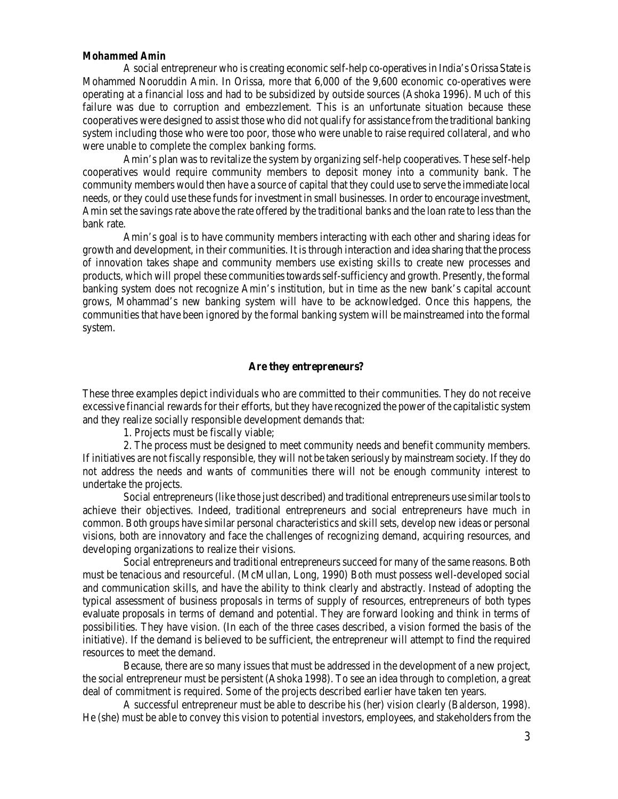### *Mohammed Amin*

A social entrepreneur who is creating economic self-help co-operatives in India's Orissa State is Mohammed Nooruddin Amin. In Orissa, more that 6,000 of the 9,600 economic co-operatives were operating at a financial loss and had to be subsidized by outside sources (Ashoka 1996). Much of this failure was due to corruption and embezzlement. This is an unfortunate situation because these cooperatives were designed to assist those who did not qualify for assistance from the traditional banking system including those who were too poor, those who were unable to raise required collateral, and who were unable to complete the complex banking forms.

Amin's plan was to revitalize the system by organizing self-help cooperatives. These self-help cooperatives would require community members to deposit money into a community bank. The community members would then have a source of capital that they could use to serve the immediate local needs, or they could use these funds for investment in small businesses. In order to encourage investment, Amin set the savings rate above the rate offered by the traditional banks and the loan rate to less than the bank rate.

Amin's goal is to have community members interacting with each other and sharing ideas for growth and development, in their communities. It is through interaction and idea sharing that the process of innovation takes shape and community members use existing skills to create new processes and products, which will propel these communities towards self-sufficiency and growth. Presently, the formal banking system does not recognize Amin's institution, but in time as the new bank's capital account grows, Mohammad's new banking system will have to be acknowledged. Once this happens, the communities that have been ignored by the formal banking system will be mainstreamed into the formal system.

# **Are they entrepreneurs?**

These three examples depict individuals who are committed to their communities. They do not receive excessive financial rewards for their efforts, but they have recognized the power of the capitalistic system and they realize socially responsible development demands that:

1. Projects must be fiscally viable;

2. The process must be designed to meet community needs and benefit community members. If initiatives are not fiscally responsible, they will not be taken seriously by mainstream society. If they do not address the needs and wants of communities there will not be enough community interest to undertake the projects.

Social entrepreneurs (like those just described) and traditional entrepreneurs use similar tools to achieve their objectives. Indeed, traditional entrepreneurs and social entrepreneurs have much in common. Both groups have similar personal characteristics and skill sets, develop new ideas or personal visions, both are innovatory and face the challenges of recognizing demand, acquiring resources, and developing organizations to realize their visions.

Social entrepreneurs and traditional entrepreneurs succeed for many of the same reasons. Both must be tenacious and resourceful. (McMullan, Long, 1990) Both must possess well-developed social and communication skills, and have the ability to think clearly and abstractly. Instead of adopting the typical assessment of business proposals in terms of supply of resources, entrepreneurs of both types evaluate proposals in terms of demand and potential. They are forward looking and think in terms of possibilities. They have vision. (In each of the three cases described, a vision formed the basis of the initiative). If the demand is believed to be sufficient, the entrepreneur will attempt to find the required resources to meet the demand.

Because, there are so many issues that must be addressed in the development of a new project, the social entrepreneur must be persistent (Ashoka 1998). To see an idea through to completion, a great deal of commitment is required. Some of the projects described earlier have taken ten years.

A successful entrepreneur must be able to describe his (her) vision clearly (Balderson, 1998). He (she) must be able to convey this vision to potential investors, employees, and stakeholders from the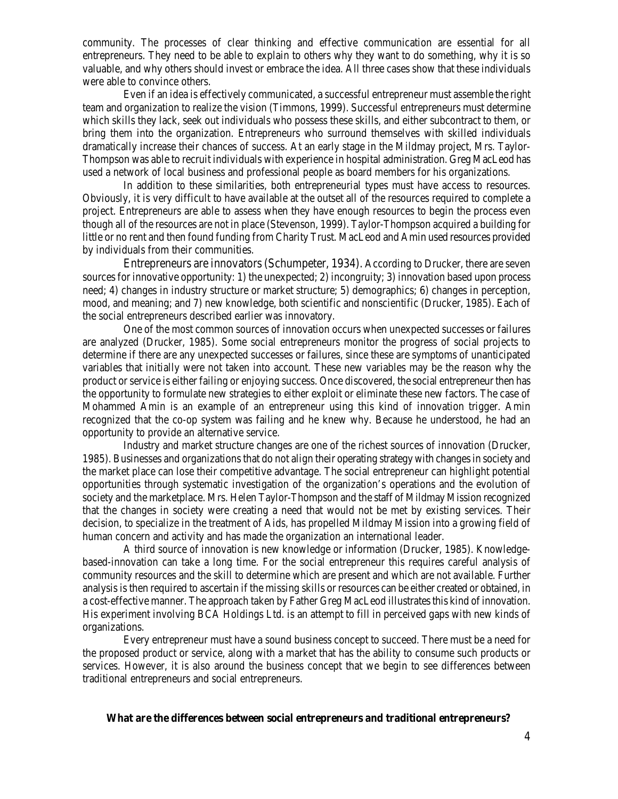community. The processes of clear thinking and effective communication are essential for all entrepreneurs. They need to be able to explain to others why they want to do something, why it is so valuable, and why others should invest or embrace the idea. All three cases show that these individuals were able to convince others.

Even if an idea is effectively communicated, a successful entrepreneur must assemble the right team and organization to realize the vision (Timmons, 1999). Successful entrepreneurs must determine which skills they lack, seek out individuals who possess these skills, and either subcontract to them, or bring them into the organization. Entrepreneurs who surround themselves with skilled individuals dramatically increase their chances of success. At an early stage in the Mildmay project, Mrs. Taylor-Thompson was able to recruit individuals with experience in hospital administration. Greg MacLeod has used a network of local business and professional people as board members for his organizations.

In addition to these similarities, both entrepreneurial types must have access to resources. Obviously, it is very difficult to have available at the outset all of the resources required to complete a project. Entrepreneurs are able to assess when they have enough resources to begin the process even though all of the resources are not in place (Stevenson, 1999). Taylor-Thompson acquired a building for little or no rent and then found funding from Charity Trust. MacLeod and Amin used resources provided by individuals from their communities.

Entrepreneurs are innovators (Schumpeter, 1934). According to Drucker, there are seven sources for innovative opportunity: 1) the unexpected; 2) incongruity; 3) innovation based upon process need; 4) changes in industry structure or market structure; 5) demographics; 6) changes in perception, mood, and meaning; and 7) new knowledge, both scientific and nonscientific (Drucker, 1985). Each of the social entrepreneurs described earlier was innovatory.

One of the most common sources of innovation occurs when unexpected successes or failures are analyzed (Drucker, 1985). Some social entrepreneurs monitor the progress of social projects to determine if there are any unexpected successes or failures, since these are symptoms of unanticipated variables that initially were not taken into account. These new variables may be the reason why the product or service is either failing or enjoying success. Once discovered, the social entrepreneur then has the opportunity to formulate new strategies to either exploit or eliminate these new factors. The case of Mohammed Amin is an example of an entrepreneur using this kind of innovation trigger. Amin recognized that the co-op system was failing and he knew why. Because he understood, he had an opportunity to provide an alternative service.

Industry and market structure changes are one of the richest sources of innovation (Drucker, 1985). Businesses and organizations that do not align their operating strategy with changes in society and the market place can lose their competitive advantage. The social entrepreneur can highlight potential opportunities through systematic investigation of the organization's operations and the evolution of society and the marketplace. Mrs. Helen Taylor-Thompson and the staff of Mildmay Mission recognized that the changes in society were creating a need that would not be met by existing services. Their decision, to specialize in the treatment of Aids, has propelled Mildmay Mission into a growing field of human concern and activity and has made the organization an international leader.

A third source of innovation is new knowledge or information (Drucker, 1985). Knowledgebased-innovation can take a long time. For the social entrepreneur this requires careful analysis of community resources and the skill to determine which are present and which are not available. Further analysis is then required to ascertain if the missing skills or resources can be either created or obtained, in a cost-effective manner. The approach taken by Father Greg MacLeod illustrates this kind of innovation. His experiment involving BCA Holdings Ltd. is an attempt to fill in perceived gaps with new kinds of organizations.

Every entrepreneur must have a sound business concept to succeed. There must be a need for the proposed product or service, along with a market that has the ability to consume such products or services. However, it is also around the business concept that we begin to see differences between traditional entrepreneurs and social entrepreneurs.

# **What are the differences between social entrepreneurs and traditional entrepreneurs?**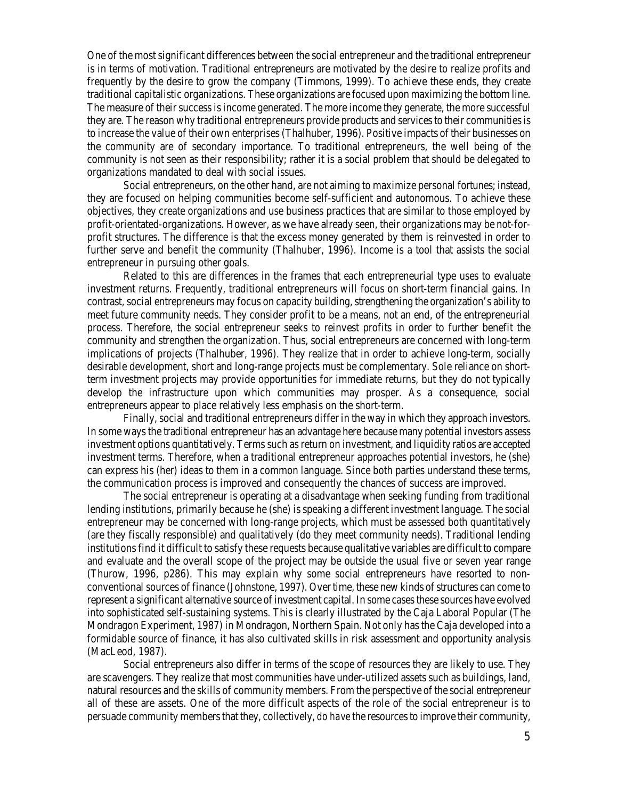One of the most significant differences between the social entrepreneur and the traditional entrepreneur is in terms of motivation. Traditional entrepreneurs are motivated by the desire to realize profits and frequently by the desire to grow the company (Timmons, 1999). To achieve these ends, they create traditional capitalistic organizations. These organizations are focused upon maximizing the bottom line. The measure of their success is income generated. The more income they generate, the more successful they are. The reason why traditional entrepreneurs provide products and services to their communities is to increase the value of their own enterprises (Thalhuber, 1996). Positive impacts of their businesses on the community are of secondary importance. To traditional entrepreneurs, the well being of the community is not seen as their responsibility; rather it is a social problem that should be delegated to organizations mandated to deal with social issues.

Social entrepreneurs, on the other hand, are not aiming to maximize personal fortunes; instead, they are focused on helping communities become self-sufficient and autonomous. To achieve these objectives, they create organizations and use business practices that are similar to those employed by profit-orientated-organizations. However, as we have already seen, their organizations may be not-forprofit structures. The difference is that the excess money generated by them is reinvested in order to further serve and benefit the community (Thalhuber, 1996). Income is a tool that assists the social entrepreneur in pursuing other goals.

Related to this are differences in the frames that each entrepreneurial type uses to evaluate investment returns. Frequently, traditional entrepreneurs will focus on short-term financial gains. In contrast, social entrepreneurs may focus on capacity building, strengthening the organization's ability to meet future community needs. They consider profit to be a means, not an end, of the entrepreneurial process. Therefore, the social entrepreneur seeks to reinvest profits in order to further benefit the community and strengthen the organization. Thus, social entrepreneurs are concerned with long-term implications of projects (Thalhuber, 1996). They realize that in order to achieve long-term, socially desirable development, short and long-range projects must be complementary. Sole reliance on shortterm investment projects may provide opportunities for immediate returns, but they do not typically develop the infrastructure upon which communities may prosper. As a consequence, social entrepreneurs appear to place relatively less emphasis on the short-term.

Finally, social and traditional entrepreneurs differ in the way in which they approach investors. In some ways the traditional entrepreneur has an advantage here because many potential investors assess investment options quantitatively. Terms such as return on investment, and liquidity ratios are accepted investment terms. Therefore, when a traditional entrepreneur approaches potential investors, he (she) can express his (her) ideas to them in a common language. Since both parties understand these terms, the communication process is improved and consequently the chances of success are improved.

The social entrepreneur is operating at a disadvantage when seeking funding from traditional lending institutions, primarily because he (she) is speaking a different investment language. The social entrepreneur may be concerned with long-range projects, which must be assessed both quantitatively (are they fiscally responsible) and qualitatively (do they meet community needs). Traditional lending institutions find it difficult to satisfy these requests because qualitative variables are difficult to compare and evaluate and the overall scope of the project may be outside the usual five or seven year range (Thurow, 1996, p286). This may explain why some social entrepreneurs have resorted to nonconventional sources of finance (Johnstone, 1997). Over time, these new kinds of structures can come to represent a significant alternative source of investment capital. In some cases these sources have evolved into sophisticated self-sustaining systems. This is clearly illustrated by the Caja Laboral Popular (The Mondragon Experiment, 1987) in Mondragon, Northern Spain. Not only has the Caja developed into a formidable source of finance, it has also cultivated skills in risk assessment and opportunity analysis (MacLeod, 1987).

Social entrepreneurs also differ in terms of the scope of resources they are likely to use. They are scavengers. They realize that most communities have under-utilized assets such as buildings, land, natural resources and the skills of community members. From the perspective of the social entrepreneur all of these are assets. One of the more difficult aspects of the role of the social entrepreneur is to persuade community members that they, collectively, *do have* the resources to improve their community,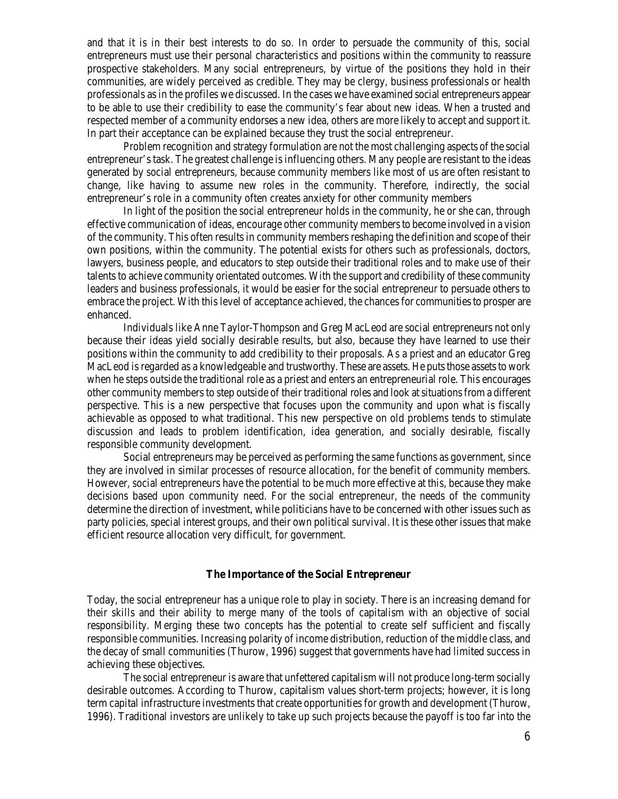and that it is in their best interests to do so. In order to persuade the community of this, social entrepreneurs must use their personal characteristics and positions within the community to reassure prospective stakeholders. Many social entrepreneurs, by virtue of the positions they hold in their communities, are widely perceived as credible. They may be clergy, business professionals or health professionals as in the profiles we discussed. In the cases we have examined social entrepreneurs appear to be able to use their credibility to ease the community's fear about new ideas. When a trusted and respected member of a community endorses a new idea, others are more likely to accept and support it. In part their acceptance can be explained because they trust the social entrepreneur.

Problem recognition and strategy formulation are not the most challenging aspects of the social entrepreneur's task. The greatest challenge is influencing others. Many people are resistant to the ideas generated by social entrepreneurs, because community members like most of us are often resistant to change, like having to assume new roles in the community. Therefore, indirectly, the social entrepreneur's role in a community often creates anxiety for other community members

In light of the position the social entrepreneur holds in the community, he or she can, through effective communication of ideas, encourage other community members to become involved in a vision of the community. This often results in community members reshaping the definition and scope of their own positions, within the community. The potential exists for others such as professionals, doctors, lawyers, business people, and educators to step outside their traditional roles and to make use of their talents to achieve community orientated outcomes. With the support and credibility of these community leaders and business professionals, it would be easier for the social entrepreneur to persuade others to embrace the project. With this level of acceptance achieved, the chances for communities to prosper are enhanced.

Individuals like Anne Taylor-Thompson and Greg MacLeod are social entrepreneurs not only because their ideas yield socially desirable results, but also, because they have learned to use their positions within the community to add credibility to their proposals. As a priest and an educator Greg MacLeod is regarded as a knowledgeable and trustworthy. These are assets. He puts those assets to work when he steps outside the traditional role as a priest and enters an entrepreneurial role. This encourages other community members to step outside of their traditional roles and look at situations from a different perspective. This is a new perspective that focuses upon the community and upon what is fiscally achievable as opposed to what traditional. This new perspective on old problems tends to stimulate discussion and leads to problem identification, idea generation, and socially desirable, fiscally responsible community development.

Social entrepreneurs may be perceived as performing the same functions as government, since they are involved in similar processes of resource allocation, for the benefit of community members. However, social entrepreneurs have the potential to be much more effective at this, because they make decisions based upon community need. For the social entrepreneur, the needs of the community determine the direction of investment, while politicians have to be concerned with other issues such as party policies, special interest groups, and their own political survival. It is these other issues that make efficient resource allocation very difficult, for government.

## **The Importance of the Social Entrepreneur**

Today, the social entrepreneur has a unique role to play in society. There is an increasing demand for their skills and their ability to merge many of the tools of capitalism with an objective of social responsibility. Merging these two concepts has the potential to create self sufficient and fiscally responsible communities. Increasing polarity of income distribution, reduction of the middle class, and the decay of small communities (Thurow, 1996) suggest that governments have had limited success in achieving these objectives.

The social entrepreneur is aware that unfettered capitalism will not produce long-term socially desirable outcomes. According to Thurow, capitalism values short-term projects; however, it is long term capital infrastructure investments that create opportunities for growth and development (Thurow, 1996). Traditional investors are unlikely to take up such projects because the payoff is too far into the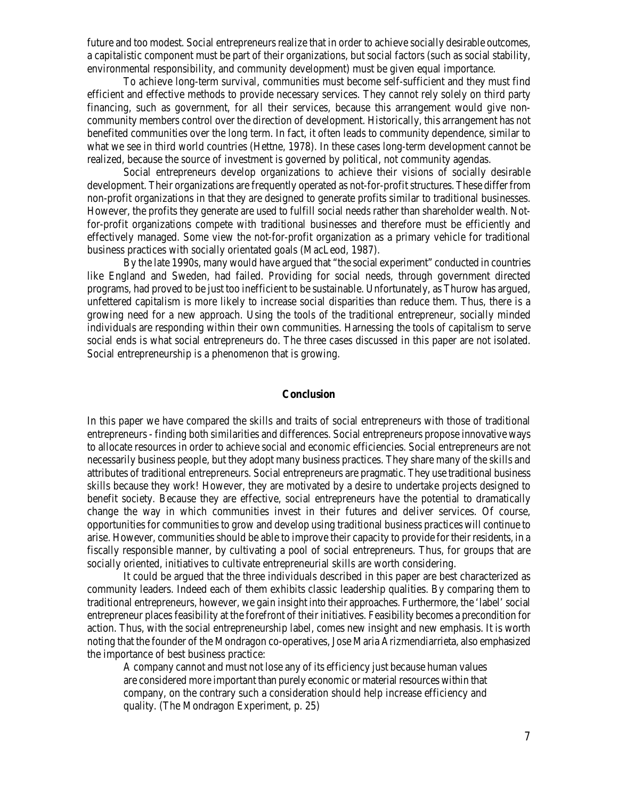future and too modest. Social entrepreneurs realize that in order to achieve socially desirable outcomes, a capitalistic component must be part of their organizations, but social factors (such as social stability, environmental responsibility, and community development) must be given equal importance.

To achieve long-term survival, communities must become self-sufficient and they must find efficient and effective methods to provide necessary services. They cannot rely solely on third party financing, such as government, for all their services, because this arrangement would give noncommunity members control over the direction of development. Historically, this arrangement has not benefited communities over the long term. In fact, it often leads to community dependence, similar to what we see in third world countries (Hettne, 1978). In these cases long-term development cannot be realized, because the source of investment is governed by political, not community agendas.

Social entrepreneurs develop organizations to achieve their visions of socially desirable development. Their organizations are frequently operated as not-for-profit structures. These differ from non-profit organizations in that they are designed to generate profits similar to traditional businesses. However, the profits they generate are used to fulfill social needs rather than shareholder wealth. Notfor-profit organizations compete with traditional businesses and therefore must be efficiently and effectively managed. Some view the not-for-profit organization as a primary vehicle for traditional business practices with socially orientated goals (MacLeod, 1987).

By the late 1990s, many would have argued that "the social experiment" conducted in countries like England and Sweden, had failed. Providing for social needs, through government directed programs, had proved to be just too inefficient to be sustainable. Unfortunately, as Thurow has argued, unfettered capitalism is more likely to increase social disparities than reduce them. Thus, there is a growing need for a new approach. Using the tools of the traditional entrepreneur, socially minded individuals are responding within their own communities. Harnessing the tools of capitalism to serve social ends is what social entrepreneurs do. The three cases discussed in this paper are not isolated. Social entrepreneurship is a phenomenon that is growing.

### **Conclusion**

In this paper we have compared the skills and traits of social entrepreneurs with those of traditional entrepreneurs - finding both similarities and differences. Social entrepreneurs propose innovative ways to allocate resources in order to achieve social and economic efficiencies. Social entrepreneurs are not necessarily business people, but they adopt many business practices. They share many of the skills and attributes of traditional entrepreneurs. Social entrepreneurs are pragmatic. They use traditional business skills because they work! However, they are motivated by a desire to undertake projects designed to benefit society. Because they are effective, social entrepreneurs have the potential to dramatically change the way in which communities invest in their futures and deliver services. Of course, opportunities for communities to grow and develop using traditional business practices will continue to arise. However, communities should be able to improve their capacity to provide for their residents, in a fiscally responsible manner, by cultivating a pool of social entrepreneurs. Thus, for groups that are socially oriented, initiatives to cultivate entrepreneurial skills are worth considering.

It could be argued that the three individuals described in this paper are best characterized as community leaders. Indeed each of them exhibits classic leadership qualities. By comparing them to traditional entrepreneurs, however, we gain insight into their approaches. Furthermore, the 'label' social entrepreneur places feasibility at the forefront of their initiatives. Feasibility becomes a precondition for action. Thus, with the social entrepreneurship label, comes new insight and new emphasis. It is worth noting that the founder of the Mondragon co-operatives, Jose Maria Arizmendiarrieta, also emphasized the importance of best business practice:

A company cannot and must not lose any of its efficiency just because human values are considered more important than purely economic or material resources within that company, on the contrary such a consideration should help increase efficiency and quality. (The Mondragon Experiment, p. 25)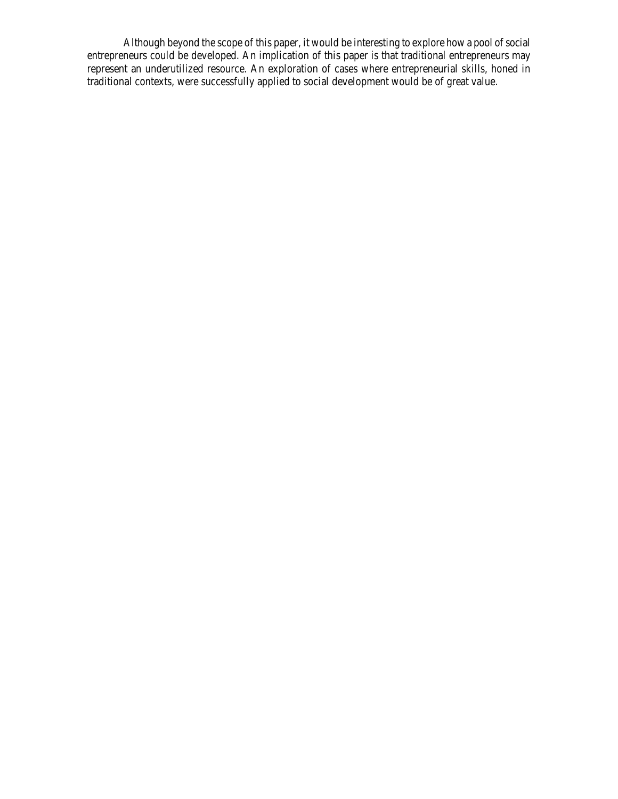Although beyond the scope of this paper, it would be interesting to explore how a pool of social entrepreneurs could be developed. An implication of this paper is that traditional entrepreneurs may represent an underutilized resource. An exploration of cases where entrepreneurial skills, honed in traditional contexts, were successfully applied to social development would be of great value.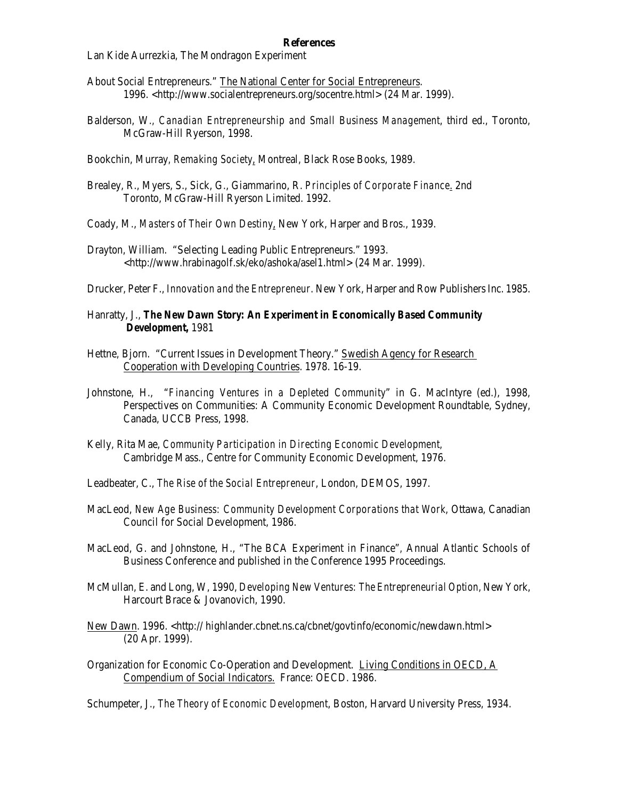### **References**

Lan Kide Aurrezkia, The Mondragon Experiment

- About Social Entrepreneurs." The National Center for Social Entrepreneurs. 1996. <http://www.socialentrepreneurs.org/socentre.html> (24 Mar. 1999).
- Balderson, W*., Canadian Entrepreneurship and Small Business Management*, third ed., Toronto, McGraw-Hill Ryerson, 1998.
- Bookchin, Murray*, Remaking Society*, Montreal, Black Rose Books, 1989.
- Brealey, R., Myers, S., Sick, G., Giammarino, R. *Principles of Corporate Finance*. 2nd Toronto, McGraw-Hill Ryerson Limited. 1992.
- Coady, M., *Masters of Their Own Destiny*, New York, Harper and Bros., 1939.
- Drayton, William. "Selecting Leading Public Entrepreneurs." 1993. <http://www.hrabinagolf.sk/eko/ashoka/asel1.html> (24 Mar. 1999).

Drucker, Peter F., *Innovation and the Entrepreneur*. New York, Harper and Row Publishers Inc. 1985.

- Hanratty, J., *The New Dawn Story: An Experiment in Economically Based Community Development,* 1981
- Hettne, Bjorn. "Current Issues in Development Theory." Swedish Agency for Research Cooperation with Developing Countries. 1978. 16-19.
- Johnstone, H., "*Financing Ventures in a Depleted Community*" in G. MacIntyre (ed.), 1998, Perspectives on Communities: A Community Economic Development Roundtable, Sydney, Canada, UCCB Press, 1998.
- Kelly, Rita Mae, *Community Participation in Directing Economic Development,* Cambridge Mass., Centre for Community Economic Development, 1976.
- Leadbeater, C., *The Rise of the Social Entrepreneur*, London, DEMOS, 1997.
- MacLeod, *New Age Business: Community Development Corporations that Work*, Ottawa, Canadian Council for Social Development, 1986.
- MacLeod, G. and Johnstone, H., "The BCA Experiment in Finance"*,* Annual Atlantic Schools of Business Conference and published in the Conference 1995 Proceedings.
- McMullan, E. and Long, W, 1990, *Developing New Ventures: The Entrepreneurial Option*, New York, Harcourt Brace & Jovanovich, 1990.
- New Dawn. 1996. <http:// highlander.cbnet.ns.ca/cbnet/govtinfo/economic/newdawn.html> (20 Apr. 1999).
- Organization for Economic Co-Operation and Development. Living Conditions in OECD, A Compendium of Social Indicators. France: OECD. 1986.

Schumpeter, J., *The Theory of Economic Development*, Boston, Harvard University Press, 1934.